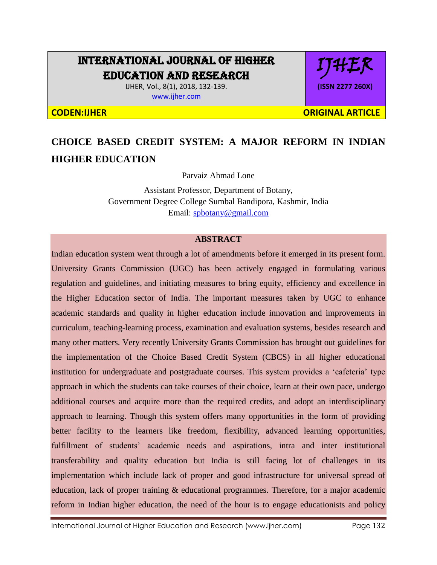# INTERNATIONAL JOURNAL OF HIGHER EDUCATION AND RESEARCH

IJHER, Vol., 8(1), 2018, 132-139. [www.ijher.com](http://www.ijher.com/)

IJHER **(ISSN 2277 260X)**

**CODEN:IJHER ORIGINAL ARTICLE** 

# **CHOICE BASED CREDIT SYSTEM: A MAJOR REFORM IN INDIAN HIGHER EDUCATION**

Parvaiz Ahmad Lone

Assistant Professor, Department of Botany, Government Degree College Sumbal Bandipora, Kashmir, India Email: [spbotany@gmail.com](mailto:spbotany@gmail.com)

### **ABSTRACT**

Indian education system went through a lot of amendments before it emerged in its present form. University Grants Commission (UGC) has been actively engaged in formulating various regulation and guidelines, and initiating measures to bring equity, efficiency and excellence in the Higher Education sector of India. The important measures taken by UGC to enhance academic standards and quality in higher education include innovation and improvements in curriculum, teaching-learning process, examination and evaluation systems, besides research and many other matters. Very recently University Grants Commission has brought out guidelines for the implementation of the Choice Based Credit System (CBCS) in all higher educational institution for undergraduate and postgraduate courses. This system provides a 'cafeteria' type approach in which the students can take courses of their choice, learn at their own pace, undergo additional courses and acquire more than the required credits, and adopt an interdisciplinary approach to learning. Though this system offers many opportunities in the form of providing better facility to the learners like freedom, flexibility, advanced learning opportunities, fulfillment of students' academic needs and aspirations, intra and inter institutional transferability and quality education but India is still facing lot of challenges in its implementation which include lack of proper and good infrastructure for universal spread of education, lack of proper training & educational programmes. Therefore, for a major academic reform in Indian higher education, the need of the hour is to engage educationists and policy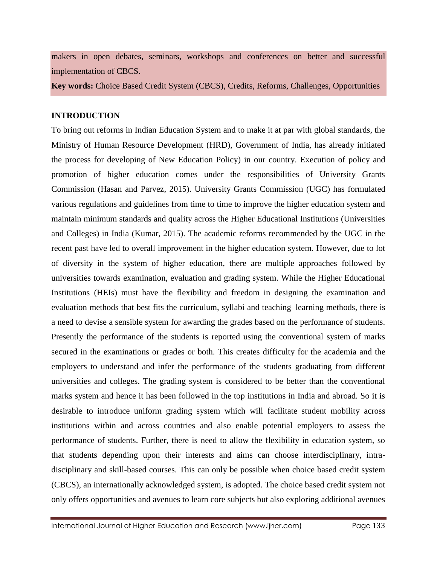makers in open debates, seminars, workshops and conferences on better and successful implementation of CBCS.

**Key words:** Choice Based Credit System (CBCS), Credits, Reforms, Challenges, Opportunities

#### **INTRODUCTION**

To bring out reforms in Indian Education System and to make it at par with global standards, the Ministry of Human Resource Development (HRD), Government of India, has already initiated the process for developing of New Education Policy) in our country. Execution of policy and promotion of higher education comes under the responsibilities of University Grants Commission (Hasan and Parvez, 2015). University Grants Commission (UGC) has formulated various regulations and guidelines from time to time to improve the higher education system and maintain minimum standards and quality across the Higher Educational Institutions (Universities and Colleges) in India (Kumar, 2015). The academic reforms recommended by the UGC in the recent past have led to overall improvement in the higher education system. However, due to lot of diversity in the system of higher education, there are multiple approaches followed by universities towards examination, evaluation and grading system. While the Higher Educational Institutions (HEIs) must have the flexibility and freedom in designing the examination and evaluation methods that best fits the curriculum, syllabi and teaching–learning methods, there is a need to devise a sensible system for awarding the grades based on the performance of students. Presently the performance of the students is reported using the conventional system of marks secured in the examinations or grades or both. This creates difficulty for the academia and the employers to understand and infer the performance of the students graduating from different universities and colleges. The grading system is considered to be better than the conventional marks system and hence it has been followed in the top institutions in India and abroad. So it is desirable to introduce uniform grading system which will facilitate student mobility across institutions within and across countries and also enable potential employers to assess the performance of students. Further, there is need to allow the flexibility in education system, so that students depending upon their interests and aims can choose interdisciplinary, intradisciplinary and skill-based courses. This can only be possible when choice based credit system (CBCS), an internationally acknowledged system, is adopted. The choice based credit system not only offers opportunities and avenues to learn core subjects but also exploring additional avenues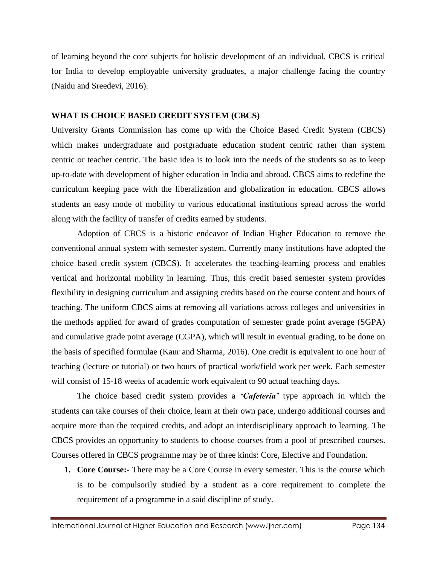of learning beyond the core subjects for holistic development of an individual. CBCS is critical for India to develop employable university graduates, a major challenge facing the country (Naidu and Sreedevi, 2016).

#### **WHAT IS CHOICE BASED CREDIT SYSTEM (CBCS)**

University Grants Commission has come up with the Choice Based Credit System (CBCS) which makes undergraduate and postgraduate education student centric rather than system centric or teacher centric. The basic idea is to look into the needs of the students so as to keep up-to-date with development of higher education in India and abroad. CBCS aims to redefine the curriculum keeping pace with the liberalization and globalization in education. CBCS allows students an easy mode of mobility to various educational institutions spread across the world along with the facility of transfer of credits earned by students.

Adoption of CBCS is a historic endeavor of Indian Higher Education to remove the conventional annual system with semester system. Currently many institutions have adopted the choice based credit system (CBCS). It accelerates the teaching-learning process and enables vertical and horizontal mobility in learning. Thus, this credit based semester system provides flexibility in designing curriculum and assigning credits based on the course content and hours of teaching. The uniform CBCS aims at removing all variations across colleges and universities in the methods applied for award of grades computation of semester grade point average (SGPA) and cumulative grade point average (CGPA), which will result in eventual grading, to be done on the basis of specified formulae (Kaur and Sharma, 2016). One credit is equivalent to one hour of teaching (lecture or tutorial) or two hours of practical work/field work per week. Each semester will consist of 15-18 weeks of academic work equivalent to 90 actual teaching days.

The choice based credit system provides a *'Cafeteria'* type approach in which the students can take courses of their choice, learn at their own pace, undergo additional courses and acquire more than the required credits, and adopt an interdisciplinary approach to learning. The CBCS provides an opportunity to students to choose courses from a pool of prescribed courses. Courses offered in CBCS programme may be of three kinds: Core, Elective and Foundation.

**1. Core Course:-** There may be a Core Course in every semester. This is the course which is to be compulsorily studied by a student as a core requirement to complete the requirement of a programme in a said discipline of study.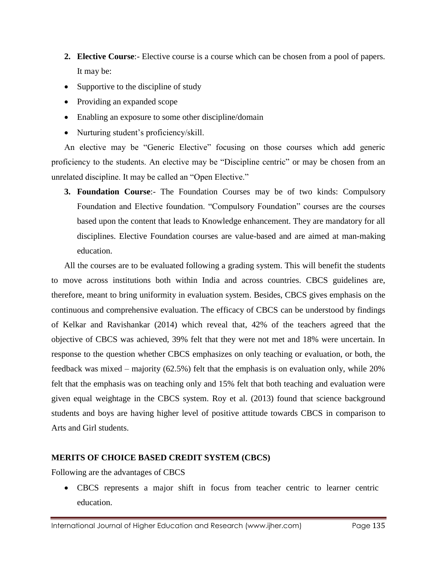- **2. Elective Course**:- Elective course is a course which can be chosen from a pool of papers. It may be:
- Supportive to the discipline of study
- Providing an expanded scope
- Enabling an exposure to some other discipline/domain
- Nurturing student's proficiency/skill.

An elective may be "Generic Elective" focusing on those courses which add generic proficiency to the students. An elective may be "Discipline centric" or may be chosen from an unrelated discipline. It may be called an "Open Elective."

**3. Foundation Course**:- The Foundation Courses may be of two kinds: Compulsory Foundation and Elective foundation. "Compulsory Foundation" courses are the courses based upon the content that leads to Knowledge enhancement. They are mandatory for all disciplines. Elective Foundation courses are value-based and are aimed at man-making education.

All the courses are to be evaluated following a grading system. This will benefit the students to move across institutions both within India and across countries. CBCS guidelines are, therefore, meant to bring uniformity in evaluation system. Besides, CBCS gives emphasis on the continuous and comprehensive evaluation. The efficacy of CBCS can be understood by findings of Kelkar and Ravishankar (2014) which reveal that, 42% of the teachers agreed that the objective of CBCS was achieved, 39% felt that they were not met and 18% were uncertain. In response to the question whether CBCS emphasizes on only teaching or evaluation, or both, the feedback was mixed – majority (62.5%) felt that the emphasis is on evaluation only, while 20% felt that the emphasis was on teaching only and 15% felt that both teaching and evaluation were given equal weightage in the CBCS system. Roy et al. (2013) found that science background students and boys are having higher level of positive attitude towards CBCS in comparison to Arts and Girl students.

# **MERITS OF CHOICE BASED CREDIT SYSTEM (CBCS)**

Following are the advantages of CBCS

 CBCS represents a major shift in focus from teacher centric to learner centric education.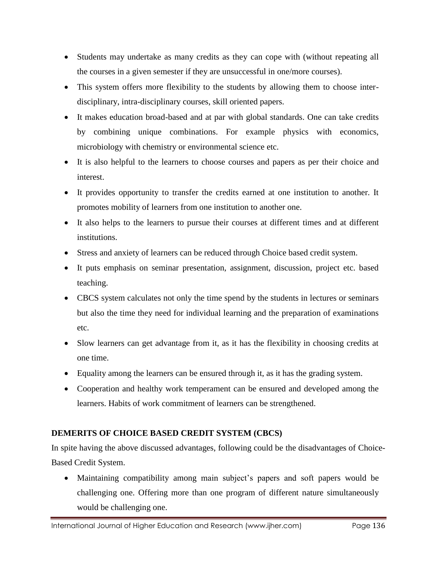- Students may undertake as many credits as they can cope with (without repeating all the courses in a given semester if they are unsuccessful in one/more courses).
- This system offers more flexibility to the students by allowing them to choose interdisciplinary, intra-disciplinary courses, skill oriented papers.
- It makes education broad-based and at par with global standards. One can take credits by combining unique combinations. For example physics with economics, microbiology with chemistry or environmental science etc.
- It is also helpful to the learners to choose courses and papers as per their choice and interest.
- It provides opportunity to transfer the credits earned at one institution to another. It promotes mobility of learners from one institution to another one.
- It also helps to the learners to pursue their courses at different times and at different institutions.
- Stress and anxiety of learners can be reduced through Choice based credit system.
- It puts emphasis on seminar presentation, assignment, discussion, project etc. based teaching.
- CBCS system calculates not only the time spend by the students in lectures or seminars but also the time they need for individual learning and the preparation of examinations etc.
- Slow learners can get advantage from it, as it has the flexibility in choosing credits at one time.
- Equality among the learners can be ensured through it, as it has the grading system.
- Cooperation and healthy work temperament can be ensured and developed among the learners. Habits of work commitment of learners can be strengthened.

# **DEMERITS OF CHOICE BASED CREDIT SYSTEM (CBCS)**

In spite having the above discussed advantages, following could be the disadvantages of Choice-Based Credit System.

 Maintaining compatibility among main subject's papers and soft papers would be challenging one. Offering more than one program of different nature simultaneously would be challenging one.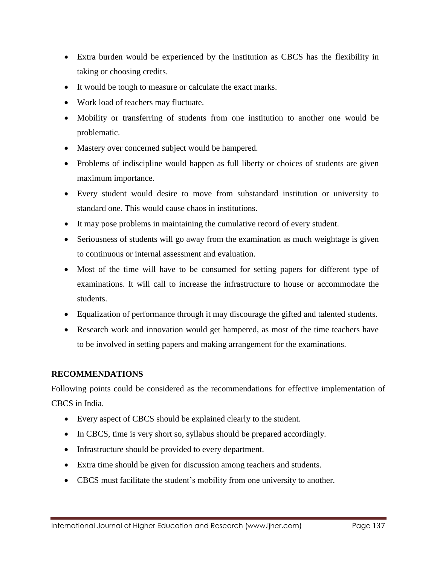- Extra burden would be experienced by the institution as CBCS has the flexibility in taking or choosing credits.
- It would be tough to measure or calculate the exact marks.
- Work load of teachers may fluctuate.
- Mobility or transferring of students from one institution to another one would be problematic.
- Mastery over concerned subject would be hampered.
- Problems of indiscipline would happen as full liberty or choices of students are given maximum importance.
- Every student would desire to move from substandard institution or university to standard one. This would cause chaos in institutions.
- It may pose problems in maintaining the cumulative record of every student.
- Seriousness of students will go away from the examination as much weightage is given to continuous or internal assessment and evaluation.
- Most of the time will have to be consumed for setting papers for different type of examinations. It will call to increase the infrastructure to house or accommodate the students.
- Equalization of performance through it may discourage the gifted and talented students.
- Research work and innovation would get hampered, as most of the time teachers have to be involved in setting papers and making arrangement for the examinations.

## **RECOMMENDATIONS**

Following points could be considered as the recommendations for effective implementation of CBCS in India.

- Every aspect of CBCS should be explained clearly to the student.
- In CBCS, time is very short so, syllabus should be prepared accordingly.
- Infrastructure should be provided to every department.
- Extra time should be given for discussion among teachers and students.
- CBCS must facilitate the student's mobility from one university to another.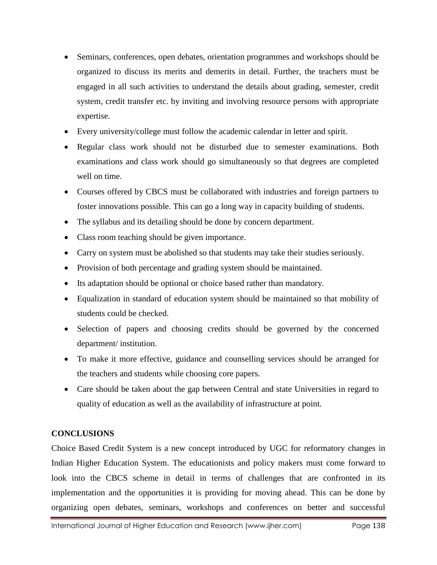- Seminars, conferences, open debates, orientation programmes and workshops should be organized to discuss its merits and demerits in detail. Further, the teachers must be engaged in all such activities to understand the details about grading, semester, credit system, credit transfer etc. by inviting and involving resource persons with appropriate expertise.
- Every university/college must follow the academic calendar in letter and spirit.
- Regular class work should not be disturbed due to semester examinations. Both examinations and class work should go simultaneously so that degrees are completed well on time.
- Courses offered by CBCS must be collaborated with industries and foreign partners to foster innovations possible. This can go a long way in capacity building of students.
- The syllabus and its detailing should be done by concern department.
- Class room teaching should be given importance.
- Carry on system must be abolished so that students may take their studies seriously.
- Provision of both percentage and grading system should be maintained.
- Its adaptation should be optional or choice based rather than mandatory.
- Equalization in standard of education system should be maintained so that mobility of students could be checked.
- Selection of papers and choosing credits should be governed by the concerned department/ institution.
- To make it more effective, guidance and counselling services should be arranged for the teachers and students while choosing core papers.
- Care should be taken about the gap between Central and state Universities in regard to quality of education as well as the availability of infrastructure at point.

# **CONCLUSIONS**

Choice Based Credit System is a new concept introduced by UGC for reformatory changes in Indian Higher Education System. The educationists and policy makers must come forward to look into the CBCS scheme in detail in terms of challenges that are confronted in its implementation and the opportunities it is providing for moving ahead. This can be done by organizing open debates, seminars, workshops and conferences on better and successful